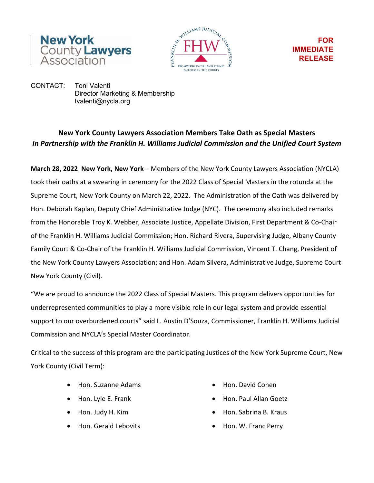



**FOR IMMEDIATE RELEASE**

CONTACT: Toni Valenti Director Marketing & Membership tvalenti@nycla.org

## **New York County Lawyers Association Members Take Oath as Special Masters** *In Partnership with the Franklin H. Williams Judicial Commission and the Unified Court System*

**March 28, 2022 New York, New York** – Members of the New York County Lawyers Association (NYCLA) took their oaths at a swearing in ceremony for the 2022 Class of Special Masters in the rotunda at the Supreme Court, New York County on March 22, 2022. The Administration of the Oath was delivered by Hon. Deborah Kaplan, Deputy Chief Administrative Judge (NYC). The ceremony also included remarks from the Honorable Troy K. Webber, Associate Justice, Appellate Division, First Department & Co-Chair of the Franklin H. Williams Judicial Commission; Hon. Richard Rivera, Supervising Judge, Albany County Family Court & Co-Chair of the Franklin H. Williams Judicial Commission, Vincent T. Chang, President of the New York County Lawyers Association; and Hon. Adam Silvera, Administrative Judge, Supreme Court New York County (Civil).

"We are proud to announce the 2022 Class of Special Masters. This program delivers opportunities for underrepresented communities to play a more visible role in our legal system and provide essential support to our overburdened courts" said L. Austin D'Souza, Commissioner, Franklin H. Williams Judicial Commission and NYCLA's Special Master Coordinator.

Critical to the success of this program are the participating Justices of the New York Supreme Court, New York County (Civil Term):

- Hon. Suzanne Adams Hon. David Cohen
- 
- 
- 
- 
- Hon. Lyle E. Frank Hon. Paul Allan Goetz
- Hon. Judy H. Kim  **Hon. Sabrina B. Kraus** 
	- Hon. Gerald Lebovits Hon. W. Franc Perry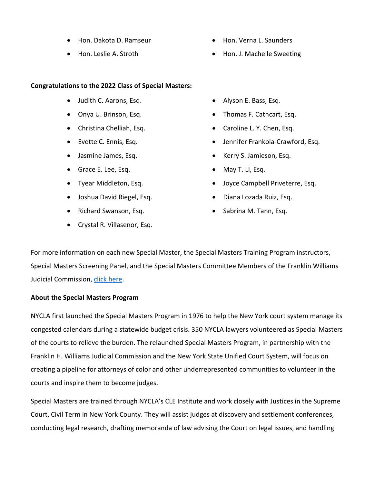- Hon. Dakota D. Ramseur  **Hon. Verna L. Saunders**
- 

## **Congratulations to the 2022 Class of Special Masters:**

- Judith C. Aarons, Esq. Alyson E. Bass, Esq.
- 
- 
- 
- 
- Grace E. Lee, Esq. May T. Li, Esq.
- 
- Joshua David Riegel, Esq. Diana Lozada Ruiz, Esq.
- Richard Swanson, Esq. Sabrina M. Tann, Esq.
- Crystal R. Villasenor, Esq.
- 
- Hon. Leslie A. Stroth Hon. J. Machelle Sweeting
	-
- Onya U. Brinson, Esq. Thomas F. Cathcart, Esq.
- Christina Chelliah, Esq. Caroline L. Y. Chen, Esq.
- Evette C. Ennis, Esq. Jennifer Frankola-Crawford, Esq.
- Jasmine James, Esq. Kerry S. Jamieson, Esq.
	-
- Tyear Middleton, Esq. Joyce Campbell Priveterre, Esq.
	-
	-

For more information on each new Special Master, the Special Masters Training Program instructors, Special Masters Screening Panel, and the Special Masters Committee Members of the Franklin Williams Judicial Commission, [click here.](https://www.nycla.org/pdf/SMP%20Ceremony%20Program%203-22-22%20FINAL.pdf)

## **About the Special Masters Program**

NYCLA first launched the Special Masters Program in 1976 to help the New York court system manage its congested calendars during a statewide budget crisis. 350 NYCLA lawyers volunteered as Special Masters of the courts to relieve the burden. The relaunched Special Masters Program, in partnership with the Franklin H. Williams Judicial Commission and the New York State Unified Court System, will focus on creating a pipeline for attorneys of color and other underrepresented communities to volunteer in the courts and inspire them to become judges.

Special Masters are trained through NYCLA's CLE Institute and work closely with Justices in the Supreme Court, Civil Term in New York County. They will assist judges at discovery and settlement conferences, conducting legal research, drafting memoranda of law advising the Court on legal issues, and handling